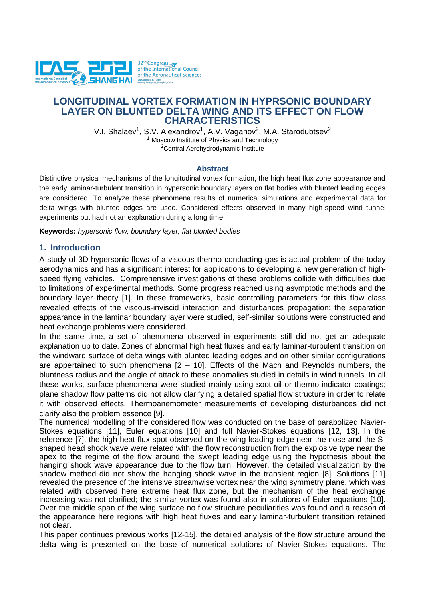

# **LONGITUDINAL VORTEX FORMATION IN HYPRSONIC BOUNDARY LAYER ON BLUNTED DELTA WING AND ITS EFFECT ON FLOW CHARACTERISTICS**

V.I. Shalaev<sup>1</sup>, S.V. Alexandrov<sup>1</sup>, A.V. Vaganov<sup>2</sup>, M.A. Starodubtsev<sup>2</sup> <sup>1</sup> Moscow Institute of Physics and Technology <sup>2</sup>Central Aerohydrodynamic Institute

#### **Abstract**

Distinctive physical mechanisms of the longitudinal vortex formation, the high heat flux zone appearance and the early laminar-turbulent transition in hypersonic boundary layers on flat bodies with blunted leading edges are considered. To analyze these phenomena results of numerical simulations and experimental data for delta wings with blunted edges are used. Considered effects observed in many high-speed wind tunnel experiments but had not an explanation during a long time.

**Keywords:** *hypersonic flow, boundary layer, flat blunted bodies*

### **1. Introduction**

A study of 3D hypersonic flows of a viscous thermo-conducting gas is actual problem of the today aerodynamics and has a significant interest for applications to developing a new generation of highspeed flying vehicles. Comprehensive investigations of these problems collide with difficulties due to limitations of experimental methods. Some progress reached using asymptotic methods and the boundary layer theory [1]. In these frameworks, basic controlling parameters for this flow class revealed effects of the viscous-inviscid interaction and disturbances propagation; the separation appearance in the laminar boundary layer were studied, self-similar solutions were constructed and heat exchange problems were considered.

In the same time, a set of phenomena observed in experiments still did not get an adequate explanation up to date. Zones of abnormal high heat fluxes and early laminar-turbulent transition on the windward surface of delta wings with blunted leading edges and on other similar configurations are appertained to such phenomena  $[2 - 10]$ . Effects of the Mach and Reynolds numbers, the bluntness radius and the angle of attack to these anomalies studied in details in wind tunnels. In all these works, surface phenomena were studied mainly using soot-oil or thermo-indicator coatings; plane shadow flow patterns did not allow clarifying a detailed spatial flow structure in order to relate it with observed effects. Thermoanemometer measurements of developing disturbances did not clarify also the problem essence [9].

The numerical modelling of the considered flow was conducted on the base of parabolized Navier-Stokes equations [11], Euler equations [10] and full Navier-Stokes equations [12, 13]. In the reference [7], the high heat flux spot observed on the wing leading edge near the nose and the Sshaped head shock wave were related with the flow reconstruction from the explosive type near the apex to the regime of the flow around the swept leading edge using the hypothesis about the hanging shock wave appearance due to the flow turn. However, the detailed visualization by the shadow method did not show the hanging shock wave in the transient region [8]. Solutions [11] revealed the presence of the intensive streamwise vortex near the wing symmetry plane, which was related with observed here extreme heat flux zone, but the mechanism of the heat exchange increasing was not clarified; the similar vortex was found also in solutions of Euler equations [10]. Over the middle span of the wing surface no flow structure peculiarities was found and a reason of the appearance here regions with high heat fluxes and early laminar-turbulent transition retained not clear.

This paper continues previous works [12-15], the detailed analysis of the flow structure around the delta wing is presented on the base of numerical solutions of Navier-Stokes equations. The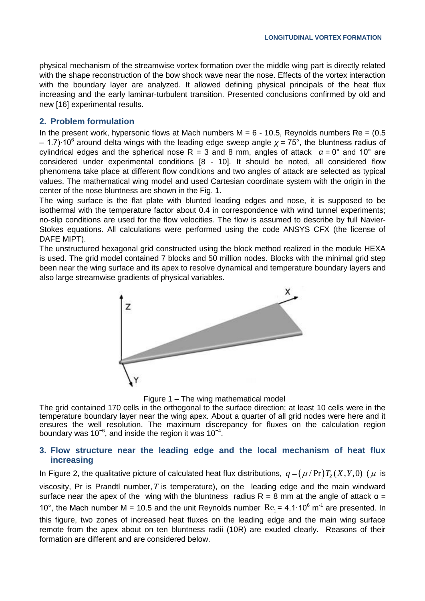physical mechanism of the streamwise vortex formation over the middle wing part is directly related with the shape reconstruction of the bow shock wave near the nose. Effects of the vortex interaction with the boundary layer are analyzed. It allowed defining physical principals of the heat flux increasing and the early laminar-turbulent transition. Presented conclusions confirmed by old and new [16] experimental results.

### **2. Problem formulation**

In the present work, hypersonic flows at Mach numbers  $M = 6 - 10.5$ , Reynolds numbers Re =  $(0.5$ – 1.7)∙10<sup>6</sup> around delta wings with the leading edge sweep angle *χ* = 75°, the bluntness radius of cylindrical edges and the spherical nose R = 3 and 8 mm, angles of attack *α* = 0° and 10° are considered under experimental conditions [8 - 10]. It should be noted, all considered flow phenomena take place at different flow conditions and two angles of attack are selected as typical values. The mathematical wing model and used Cartesian coordinate system with the origin in the center of the nose bluntness are shown in the Fig. 1.

The wing surface is the flat plate with blunted leading edges and nose, it is supposed to be isothermal with the temperature factor about 0.4 in correspondence with wind tunnel experiments; no-slip conditions are used for the flow velocities. The flow is assumed to describe by full Navier-Stokes equations. All calculations were performed using the code ANSYS CFX (the license of DAFE MIPT).

The unstructured hexagonal grid constructed using the block method realized in the module HEXA is used. The grid model contained 7 blocks and 50 million nodes. Blocks with the minimal grid step been near the wing surface and its apex to resolve dynamical and temperature boundary layers and also large streamwise gradients of physical variables.



Figure 1 **–** The wing mathematical model

The grid contained 170 cells in the orthogonal to the surface direction; at least 10 cells were in the temperature boundary layer near the wing apex. About a quarter of all grid nodes were here and it ensures the well resolution. The maximum discrepancy for fluxes on the calculation region boundary was 10<sup>-6</sup>, and inside the region it was 10<sup>-4</sup>.

### **3. Flow structure near the leading edge and the local mechanism of heat flux increasing**

In Figure 2, the qualitative picture of calculated heat flux distributions,  $q$  =  $(\mu$  /  $\Pr)T_{\text{Z}}(X,Y,0)$  (  $\mu$  is viscosity, Pr is Prandtl number,  $T$  is temperature), on the leading edge and the main windward surface near the apex of the wing with the bluntness radius  $R = 8$  mm at the angle of attack  $\alpha =$ 10°, the Mach number M = 10.5 and the unit Reynolds number  $Re_1 = 4.1 \cdot 10^6$  m<sup>-1</sup> are presented. In this figure, two zones of increased heat fluxes on the leading edge and the main wing surface remote from the apex about on ten bluntness radii (10R) are exuded clearly. Reasons of their formation are different and are considered below.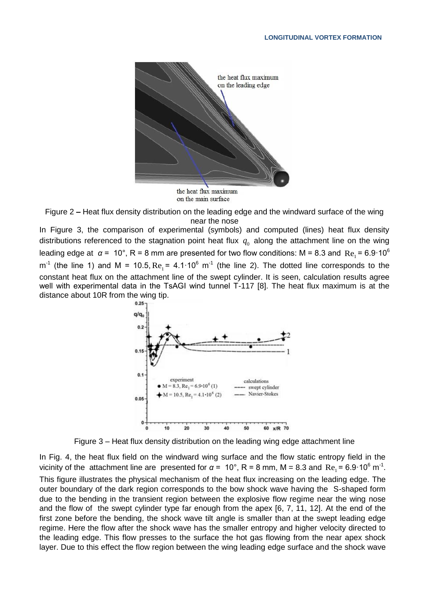



In Figure 3, the comparison of experimental (symbols) and computed (lines) heat flux density distributions referenced to the stagnation point heat flux  $q_0$  along the attachment line on the wing leading edge at  $\alpha$  =  $\,$  10 $^{\circ}$ , R = 8 mm are presented for two flow conditions: M = 8.3 and  $\,$  Re<sub>1</sub> = 6.9 $\cdot$  10 $^6$  $m^{-1}$  (the line 1) and M = 10.5,  $Re_1$  = 4.1 $\cdot$ 10<sup>6</sup> m<sup>-1</sup> (the line 2). The dotted line corresponds to the constant heat flux on the attachment line of the swept cylinder. It is seen, calculation results agree well with experimental data in the TsAGI wind tunnel T-117 [8]. The heat flux maximum is at the distance about 10R from the wing tip.



Figure 3 – Heat flux density distribution on the leading wing edge attachment line

In Fig. 4, the heat flux field on the windward wing surface and the flow static entropy field in the vicinity of the attachment line are presented for  $\alpha = 10^{\circ}$ , R = 8 mm, M = 8.3 and Re<sub>1</sub> = 6.9·10<sup>6</sup> m<sup>-1</sup>. This figure illustrates the physical mechanism of the heat flux increasing on the leading edge. The outer boundary of the dark region corresponds to the bow shock wave having the S-shaped form due to the bending in the transient region between the explosive flow regime near the wing nose and the flow of the swept cylinder type far enough from the apex [6, 7, 11, 12]. At the end of the first zone before the bending, the shock wave tilt angle is smaller than at the swept leading edge regime. Here the flow after the shock wave has the smaller entropy and higher velocity directed to the leading edge. This flow presses to the surface the hot gas flowing from the near apex shock layer. Due to this effect the flow region between the wing leading edge surface and the shock wave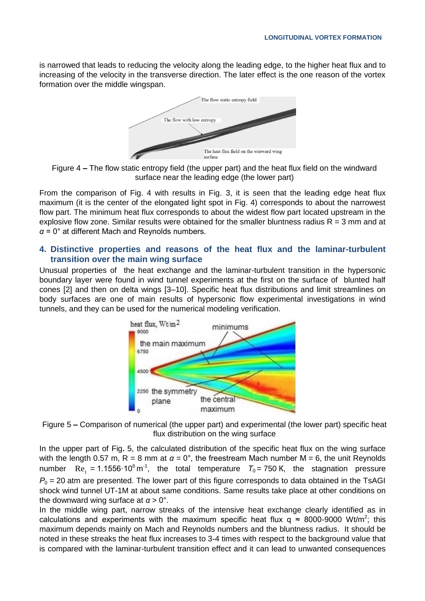Is narrowed that leads to reducing the velocity along the leading edge, to the higher heat flux and to increasing of the velocity in the transverse direction. The later effect is the one reason of the vortex formation over the middle wingspan.



Figure 4 **–** The flow static entropy field (the upper part) and the heat flux field on the windward surface near the leading edge (the lower part)

From the comparison of Fig. 4 with results in Fig. 3, it is seen that the leading edge heat flux maximum (it is the center of the elongated light spot in Fig. 4) corresponds to about the narrowest flow part. The minimum heat flux corresponds to about the widest flow part located upstream in the explosive flow zone. Similar results were obtained for the smaller bluntness radius  $R = 3$  mm and at *α* = 0° at different Mach and Reynolds numbers.

### **4. Distinctive properties and reasons of the heat flux and the laminar-turbulent transition over the main wing surface**

Unusual properties of the heat exchange and the laminar-turbulent transition in the hypersonic boundary layer were found in wind tunnel experiments at the first on the surface of blunted half cones [2] and then on delta wings [3–10]. Specific heat flux distributions and limit streamlines on body surfaces are one of main results of hypersonic flow experimental investigations in wind tunnels, and they can be used for the numerical modeling verification.



Figure 5 **–** Comparison of numerical (the upper part) and experimental (the lower part) specific heat flux distribution on the wing surface

In the upper part of Fig**.** 5, the calculated distribution of the specific heat flux on the wing surface with the length 0.57 m,  $R = 8$  mm at  $\alpha = 0^{\circ}$ , the freestream Mach number M = 6, the unit Reynolds number  $\text{Re}_1 = 1.1556 \cdot 10^6 \text{ m}^1$ , the total temperature  $T_0 = 750 \text{ K}$ , the stagnation pressure *P*<sub>0</sub> = 20 atm are presented. The lower part of this figure corresponds to data obtained in the TsAGI shock wind tunnel UT-1M at about same conditions. Same results take place at other conditions on the downward wing surface at  $\alpha > 0^{\circ}$ .

In the middle wing part, narrow streaks of the intensive heat exchange clearly identified as in calculations and experiments with the maximum specific heat flux  $q \approx 8000\text{-}9000 \text{ Wt/m}^2$ ; this maximum depends mainly on Mach and Reynolds numbers and the bluntness radius. It should be noted in these streaks the heat flux increases to 3-4 times with respect to the background value that is compared with the laminar-turbulent transition effect and it can lead to unwanted consequences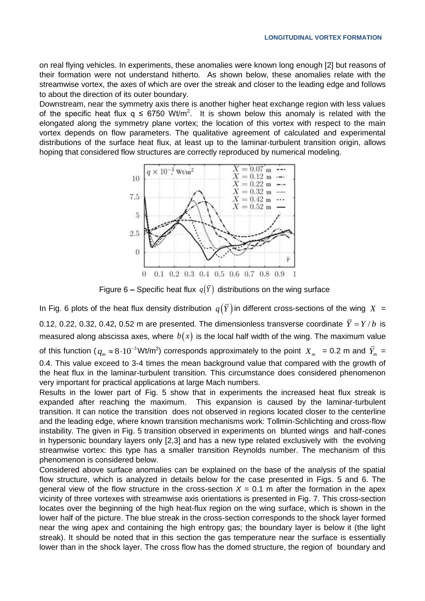on real flying vehicles. In experiments, these anomalies were known long enough [2] but reasons of their formation were not understand hitherto. As shown below, these anomalies relate with the streamwise vortex, the axes of which are over the streak and closer to the leading edge and follows to about the direction of its outer boundary.

Downstream, near the symmetry axis there is another higher heat exchange region with less values of the specific heat flux  $q \leq 6750 \text{ Wt/m}^2$ . It is shown below this anomaly is related with the elongated along the symmetry plane vortex; the location of this vortex with respect to the main vortex depends on flow parameters. The qualitative agreement of calculated and experimental distributions of the surface heat flux, at least up to the laminar-turbulent transition origin, allows hoping that considered flow structures are correctly reproduced by numerical modeling.



Figure 6 – Specific heat flux  $q(Y)$  distributions on the wing surface

In Fig. 6 plots of the heat flux density distribution  $\,q(Y)$  in different cross-sections of the wing  $\,X\,$  = 0.12, 0.22, 0.32, 0.42, 0.52 m are presented. The dimensionless transverse coordinate  $\overline{Y} = Y/b$  is measured along abscissa axes, where  $\,b(x)$  is the local half width of the wing. The maximum value of this function (  $q_m \approx 8 \cdot 10^{-3}$  Wt/m<sup>2</sup>) corresponds approximately to the point  $X_m$  = 0.2 m and  $\bar{Y}_m$  = 0.4. This value exceed to 3-4 times the mean background value that compared with the growth of the heat flux in the laminar-turbulent transition. This circumstance does considered phenomenon very important for practical applications at large Mach numbers.

Results in the lower part of Fig. 5 show that in experiments the increased heat flux streak is expanded after reaching the maximum. This expansion is caused by the laminar-turbulent transition. It can notice the transition does not observed in regions located closer to the centerline and the leading edge, where known transition mechanisms work: Tollmin-Schlichting and cross-flow instability. The given in Fig. 5 transition observed in experiments on blunted wings and half-cones in hypersonic boundary layers only [2,3] and has a new type related exclusively with the evolving streamwise vortex: this type has a smaller transition Reynolds number. The mechanism of this phenomenon is considered below.

Considered above surface anomalies can be explained on the base of the analysis of the spatial flow structure, which is analyzed in details below for the case presented in Figs. 5 and 6. The general view of the flow structure in the cross-section  $X = 0.1$  m after the formation in the apex vicinity of three vortexes with streamwise axis orientations is presented in Fig. 7. This cross-section locates over the beginning of the high heat-flux region on the wing surface, which is shown in the lower half of the picture. The blue streak in the cross-section corresponds to the shock layer formed near the wing apex and containing the high entropy gas; the boundary layer is below it (the light streak). It should be noted that in this section the gas temperature near the surface is essentially lower than in the shock layer. The cross flow has the domed structure, the region of boundary and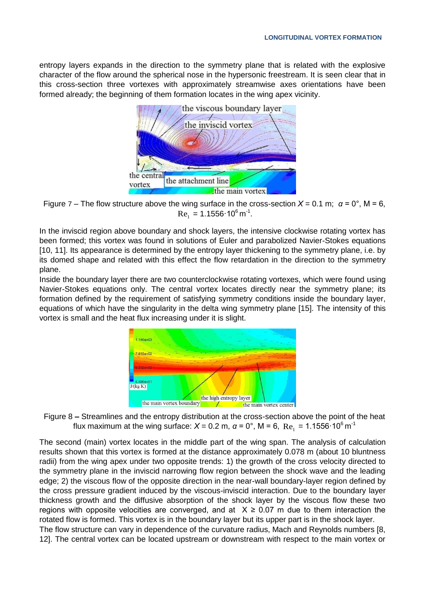entropy layers expands in the direction to the symmetry plane that is related with the explosive character of the flow around the spherical nose in the hypersonic freestream. It is seen clear that in this cross-section three vortexes with approximately streamwise axes orientations have been formed already; the beginning of them formation locates in the wing apex vicinity.



Figure 7 – The flow structure above the wing surface in the cross-section  $X = 0.1$  m;  $\alpha = 0^{\circ}$ , M = 6,  $\text{Re}_{1} = 1.1556 \cdot 10^{6} \,\text{m}^{-1}.$ 

In the inviscid region above boundary and shock layers, the intensive clockwise rotating vortex has been formed; this vortex was found in solutions of Euler and parabolized Navier-Stokes equations [10, 11]. Its appearance is determined by the entropy layer thickening to the symmetry plane, i.e. by its domed shape and related with this effect the flow retardation in the direction to the symmetry plane.

Inside the boundary layer there are two counterclockwise rotating vortexes, which were found using Navier-Stokes equations only. The central vortex locates directly near the symmetry plane; its formation defined by the requirement of satisfying symmetry conditions inside the boundary layer, equations of which have the singularity in the delta wing symmetry plane [15]. The intensity of this vortex is small and the heat flux increasing under it is slight.



Figure 8 **–** Streamlines and the entropy distribution at the cross-section above the point of the heat flux maximum at the wing surface:  $X$  = 0.2 m,  $\alpha$  = 0°, M = 6, Re<sub>1</sub> = 1.1556·10<sup>6</sup> m<sup>-1</sup>

The second (main) vortex locates in the middle part of the wing span. The analysis of calculation results shown that this vortex is formed at the distance approximately 0.078 m (about 10 bluntness radii) from the wing apex under two opposite trends: 1) the growth of the cross velocity directed to the symmetry plane in the inviscid narrowing flow region between the shock wave and the leading edge; 2) the viscous flow of the opposite direction in the near-wall boundary-layer region defined by the cross pressure gradient induced by the viscous-inviscid interaction. Due to the boundary layer thickness growth and the diffusive absorption of the shock layer by the viscous flow these two regions with opposite velocities are converged, and at  $X \ge 0.07$  m due to them interaction the rotated flow is formed. This vortex is in the boundary layer but its upper part is in the shock layer.

The flow structure can vary in dependence of the curvature radius, Mach and Reynolds numbers [8, 12]. The central vortex can be located upstream or downstream with respect to the main vortex or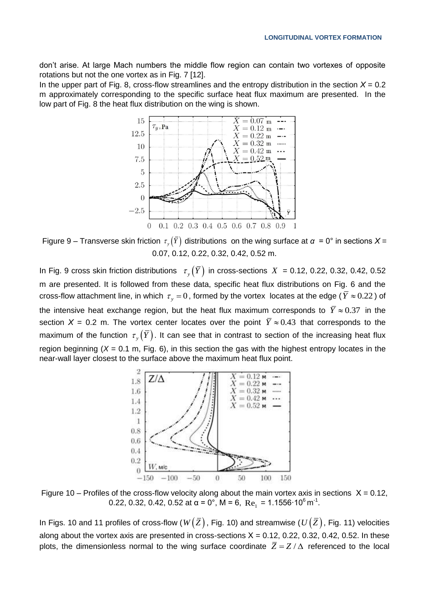don't arise. At large Mach numbers the middle flow region can contain two vortexes of opposite rotations but not the one vortex as in Fig. 7 [12].

In the upper part of Fig. 8, cross-flow streamlines and the entropy distribution in the section  $X = 0.2$ m approximately corresponding to the specific surface heat flux maximum are presented. In the low part of Fig. 8 the heat flux distribution on the wing is shown.



Figure 9 – Transverse skin friction  $\tau_y(Y)$  distributions on the wing surface at *α* = 0° in sections *X* = 0.07, 0.12, 0.22, 0.32, 0.42, 0.52 m.

In Fig. 9 cross skin friction distributions  $\tau_y(Y)$  in cross-sections  $X = 0.12, 0.22, 0.32, 0.42, 0.52$ m are presented. It is followed from these data, specific heat flux distributions on Fig. 6 and the cross-flow attachment line, in which  $\,\tau_{_y}=0$  , formed by the vortex locates at the edge (  $\overline{Y}\approx 0.22$  ) of the intensive heat exchange region, but the heat flux maximum corresponds to  $\overline{Y} \approx 0.37\,$  in the section  $X = 0.2$  m. The vortex center locates over the point  $\overline{Y} \approx 0.43$  that corresponds to the maximum of the function  $\tau_{_y}(Y)$ . It can see that in contrast to section of the increasing heat flux region beginning  $(X = 0.1 \text{ m}, \text{Fig. 6})$ , in this section the gas with the highest entropy locates in the near-wall layer closest to the surface above the maximum heat flux point.



Figure 10 – Profiles of the cross-flow velocity along about the main vortex axis in sections  $X = 0.12$ , 0.22, 0.32, 0.42, 0.52 at α = 0°, M = 6, Re<sub>1</sub> = 1.1556·10<sup>6</sup> m<sup>-1</sup>.

In Figs. 10 and 11 profiles of cross-flow ( $W\big(\overline Z\big)$ , Fig. 10) and streamwise ( $U\big(\overline Z\big)$ , Fig. 11) velocities along about the vortex axis are presented in cross-sections  $X = 0.12, 0.22, 0.32, 0.42, 0.52$ . In these plots, the dimensionless normal to the wing surface coordinate  $\bar{Z} = Z/\Delta$  referenced to the local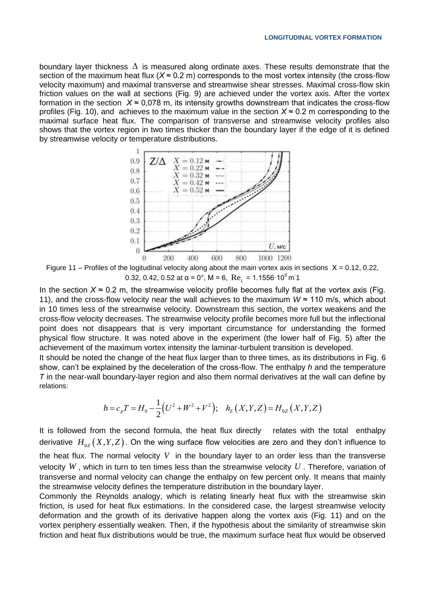boundary layer thickness  $\Delta$  is measured along ordinate axes. These results demonstrate that the section of the maximum heat flux (*X* ≈ 0.2 m) corresponds to the most vortex intensity (the cross-flow velocity maximum) and maximal transverse and streamwise shear stresses. Maximal cross-flow skin friction values on the wall at sections (Fig. 9) are achieved under the vortex axis. After the vortex formation in the section  $X \approx 0.078$  m, its intensity growths downstream that indicates the cross-flow profiles (Fig. 10), and achieves to the maximum value in the section *Х* ≈ 0.2 m corresponding to the maximal surface heat flux. The comparison of transverse and streamwise velocity profiles also shows that the vortex region in two times thicker than the boundary layer if the edge of it is defined by streamwise velocity or temperature distributions.



Figure 11 – Profiles of the logitudinal velocity along about the main vortex axis in sections  $X = 0.12$ , 0.22, 0.32, 0.42, 0.52 at α = 0°, M = 6,  $Re_1 = 1.1556 \cdot 10^6$  m 1

In the section  $X \approx 0.2$  m, the streamwise velocity profile becomes fully flat at the vortex axis (Fig. 11), and the cross-flow velocity near the wall achieves to the maximum *W* ≈ 110 m/s, which about in 10 times less of the streamwise velocity. Downstream this section, the vortex weakens and the cross-flow velocity decreases. The streamwise velocity profile becomes more full but the inflectional point does not disappears that is very important circumstance for understanding the formed physical flow structure. It was noted above in the experiment (the lower half of Fig. 5) after the achievement of the maximum vortex intensity the laminar-turbulent transition is developed.

It should be noted the change of the heat flux larger than to three times, as its distributions in Fig. 6 show, can't be explained by the deceleration of the cross-flow. The enthalpy *h* and the temperature *T* in the near-wall boundary-layer region and also them normal derivatives at the wall can define by relations:

$$
h = c_p T = H_0 - \frac{1}{2} (U^2 + W^2 + V^2); \quad h_Z(X, Y, Z) = H_{0Z}(X, Y, Z)
$$

It is followed from the second formula, the heat flux directly relates with the total enthalpy derivative  $H_{0Z}\big(X,Y,Z\big).$  On the wing surface flow velocities are zero and they don't influence to the heat flux. The normal velocity  $V$  in the boundary layer to an order less than the transverse velocity *W* , which in turn to ten times less than the streamwise velocity *U* . Therefore, variation of transverse and normal velocity can change the enthalpy on few percent only. It means that mainly the streamwise velocity defines the temperature distribution in the boundary layer.

Commonly the Reynolds analogy, which is relating linearly heat flux with the streamwise skin friction, is used for heat flux estimations. In the considered case, the largest streamwise velocity deformation and the growth of its derivative happen along the vortex axis (Fig. 11) and on the vortex periphery essentially weaken. Then, if the hypothesis about the similarity of streamwise skin friction and heat flux distributions would be true, the maximum surface heat flux would be observed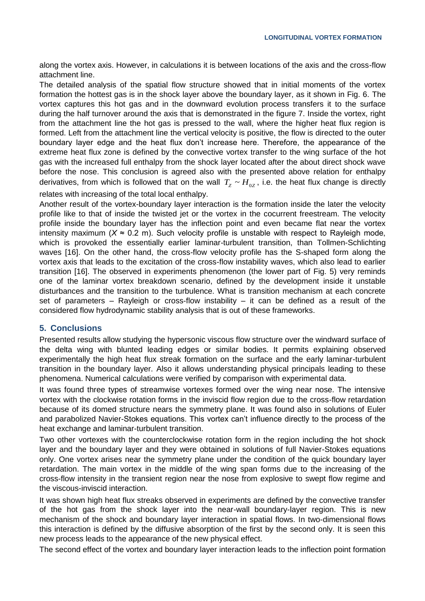along the vortex axis. However, in calculations it is between locations of the axis and the cross-flow attachment line.

The detailed analysis of the spatial flow structure showed that in initial moments of the vortex formation the hottest gas is in the shock layer above the boundary layer, as it shown in Fig. 6. The vortex captures this hot gas and in the downward evolution process transfers it to the surface during the half turnover around the axis that is demonstrated in the figure 7. Inside the vortex, right from the attachment line the hot gas is pressed to the wall, where the higher heat flux region is formed. Left from the attachment line the vertical velocity is positive, the flow is directed to the outer boundary layer edge and the heat flux don't increase here. Therefore, the appearance of the extreme heat flux zone is defined by the convective vortex transfer to the wing surface of the hot gas with the increased full enthalpy from the shock layer located after the about direct shock wave before the nose. This conclusion is agreed also with the presented above relation for enthalpy derivatives, from which is followed that on the wall  $T_z \thicksim H_{0Z}$ , i.e. the heat flux change is directly

relates with increasing of the total local enthalpy.

Another result of the vortex-boundary layer interaction is the formation inside the later the velocity profile like to that of inside the twisted jet or the vortex in the cocurrent freestream. The velocity profile inside the boundary layer has the inflection point and even became flat near the vortex intensity maximum  $(X \approx 0.2 \text{ m})$ . Such velocity profile is unstable with respect to Rayleigh mode, which is provoked the essentially earlier laminar-turbulent transition, than Tollmen-Schlichting waves [16]. On the other hand, the cross-flow velocity profile has the S-shaped form along the vortex axis that leads to the excitation of the cross-flow instability waves, which also lead to earlier transition [16]. The observed in experiments phenomenon (the lower part of Fig. 5) very reminds one of the laminar vortex breakdown scenario, defined by the development inside it unstable disturbances and the transition to the turbulence. What is transition mechanism at each concrete set of parameters – Rayleigh or cross-flow instability – it can be defined as a result of the considered flow hydrodynamic stability analysis that is out of these frameworks.

## **5. Conclusions**

Presented results allow studying the hypersonic viscous flow structure over the windward surface of the delta wing with blunted leading edges or similar bodies. It permits explaining observed experimentally the high heat flux streak formation on the surface and the early laminar-turbulent transition in the boundary layer. Also it allows understanding physical principals leading to these phenomena. Numerical calculations were verified by comparison with experimental data.

It was found three types of streamwise vortexes formed over the wing near nose. The intensive vortex with the clockwise rotation forms in the inviscid flow region due to the cross-flow retardation because of its domed structure nears the symmetry plane. It was found also in solutions of Euler and parabolized Navier-Stokes equations. This vortex can't influence directly to the process of the heat exchange and laminar-turbulent transition.

Two other vortexes with the counterclockwise rotation form in the region including the hot shock layer and the boundary layer and they were obtained in solutions of full Navier-Stokes equations only. One vortex arises near the symmetry plane under the condition of the quick boundary layer retardation. The main vortex in the middle of the wing span forms due to the increasing of the cross-flow intensity in the transient region near the nose from explosive to swept flow regime and the viscous-inviscid interaction.

It was shown high heat flux streaks observed in experiments are defined by the convective transfer of the hot gas from the shock layer into the near-wall boundary-layer region. This is new mechanism of the shock and boundary layer interaction in spatial flows. In two-dimensional flows this interaction is defined by the diffusive absorption of the first by the second only. It is seen this new process leads to the appearance of the new physical effect.

The second effect of the vortex and boundary layer interaction leads to the inflection point formation